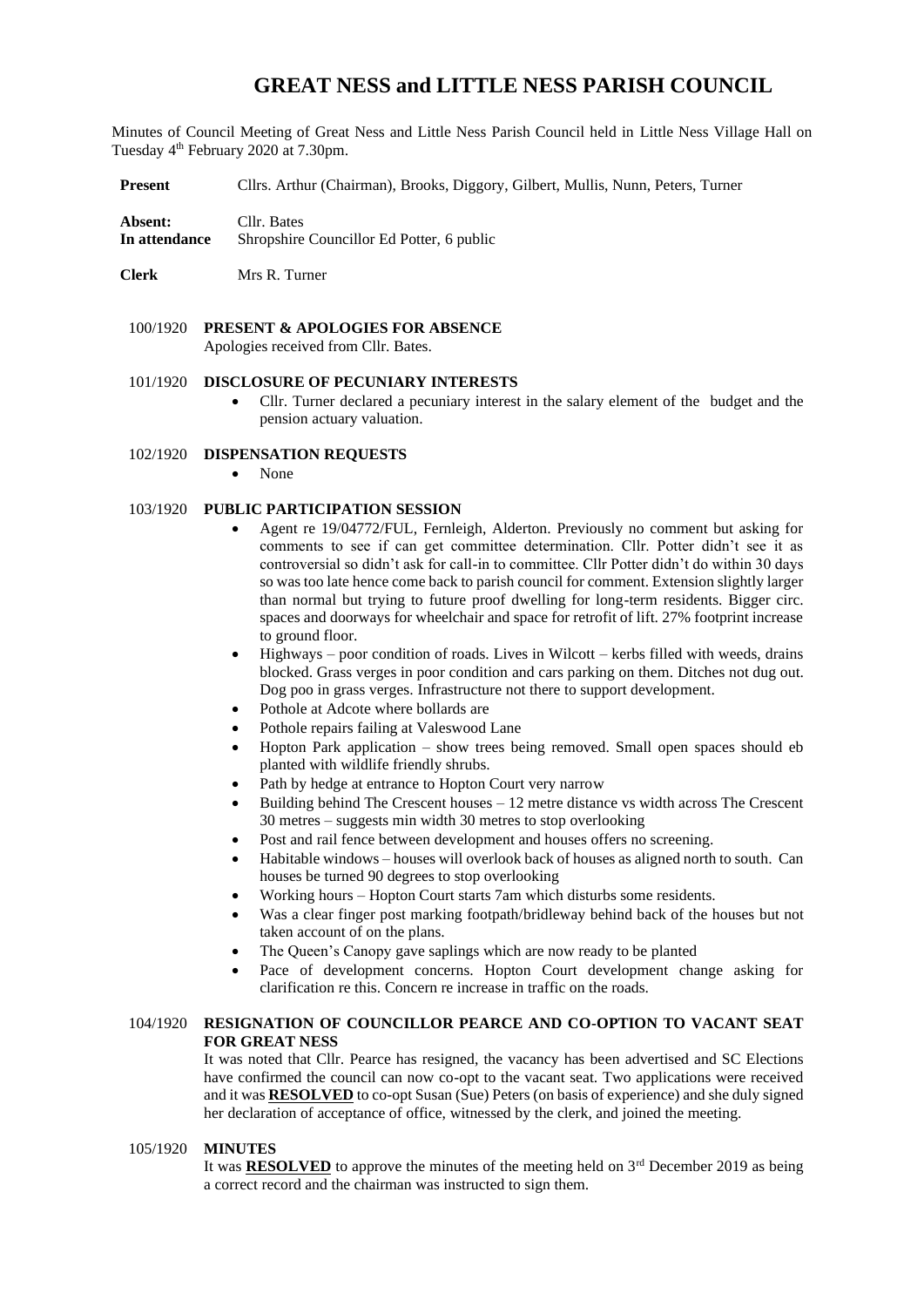# **GREAT NESS and LITTLE NESS PARISH COUNCIL**

Minutes of Council Meeting of Great Ness and Little Ness Parish Council held in Little Ness Village Hall on Tuesday 4<sup>th</sup> February 2020 at 7.30pm.

**Present** Cllrs. Arthur (Chairman), Brooks, Diggory, Gilbert, Mullis, Nunn, Peters, Turner

**Absent:** Cllr. Bates **In attendance** Shropshire Councillor Ed Potter, 6 public

**Clerk** Mrs R. Turner

100/1920 **PRESENT & APOLOGIES FOR ABSENCE**  Apologies received from Cllr. Bates.

#### 101/1920 **DISCLOSURE OF PECUNIARY INTERESTS**

• Cllr. Turner declared a pecuniary interest in the salary element of the budget and the pension actuary valuation.

#### 102/1920 **DISPENSATION REQUESTS**

• None

### 103/1920 **PUBLIC PARTICIPATION SESSION**

- Agent re 19/04772/FUL, Fernleigh, Alderton. Previously no comment but asking for comments to see if can get committee determination. Cllr. Potter didn't see it as controversial so didn't ask for call-in to committee. Cllr Potter didn't do within 30 days so was too late hence come back to parish council for comment. Extension slightly larger than normal but trying to future proof dwelling for long-term residents. Bigger circ. spaces and doorways for wheelchair and space for retrofit of lift. 27% footprint increase to ground floor.
- $H$ ighways poor condition of roads. Lives in Wilcott kerbs filled with weeds, drains blocked. Grass verges in poor condition and cars parking on them. Ditches not dug out. Dog poo in grass verges. Infrastructure not there to support development.
- Pothole at Adcote where bollards are
- Pothole repairs failing at Valeswood Lane
- Hopton Park application show trees being removed. Small open spaces should eb planted with wildlife friendly shrubs.
- Path by hedge at entrance to Hopton Court very narrow
- Building behind The Crescent houses 12 metre distance vs width across The Crescent 30 metres – suggests min width 30 metres to stop overlooking
- Post and rail fence between development and houses offers no screening.
- Habitable windows houses will overlook back of houses as aligned north to south. Can houses be turned 90 degrees to stop overlooking
- Working hours Hopton Court starts 7am which disturbs some residents.
- Was a clear finger post marking footpath/bridleway behind back of the houses but not taken account of on the plans.
- The Queen's Canopy gave saplings which are now ready to be planted
- Pace of development concerns. Hopton Court development change asking for clarification re this. Concern re increase in traffic on the roads.

## 104/1920 **RESIGNATION OF COUNCILLOR PEARCE AND CO-OPTION TO VACANT SEAT FOR GREAT NESS**

It was noted that Cllr. Pearce has resigned, the vacancy has been advertised and SC Elections have confirmed the council can now co-opt to the vacant seat. Two applications were received and it was **RESOLVED** to co-opt Susan (Sue) Peters (on basis of experience) and she duly signed her declaration of acceptance of office, witnessed by the clerk, and joined the meeting.

## 105/1920 **MINUTES**

It was **RESOLVED** to approve the minutes of the meeting held on  $3<sup>rd</sup>$  December 2019 as being a correct record and the chairman was instructed to sign them.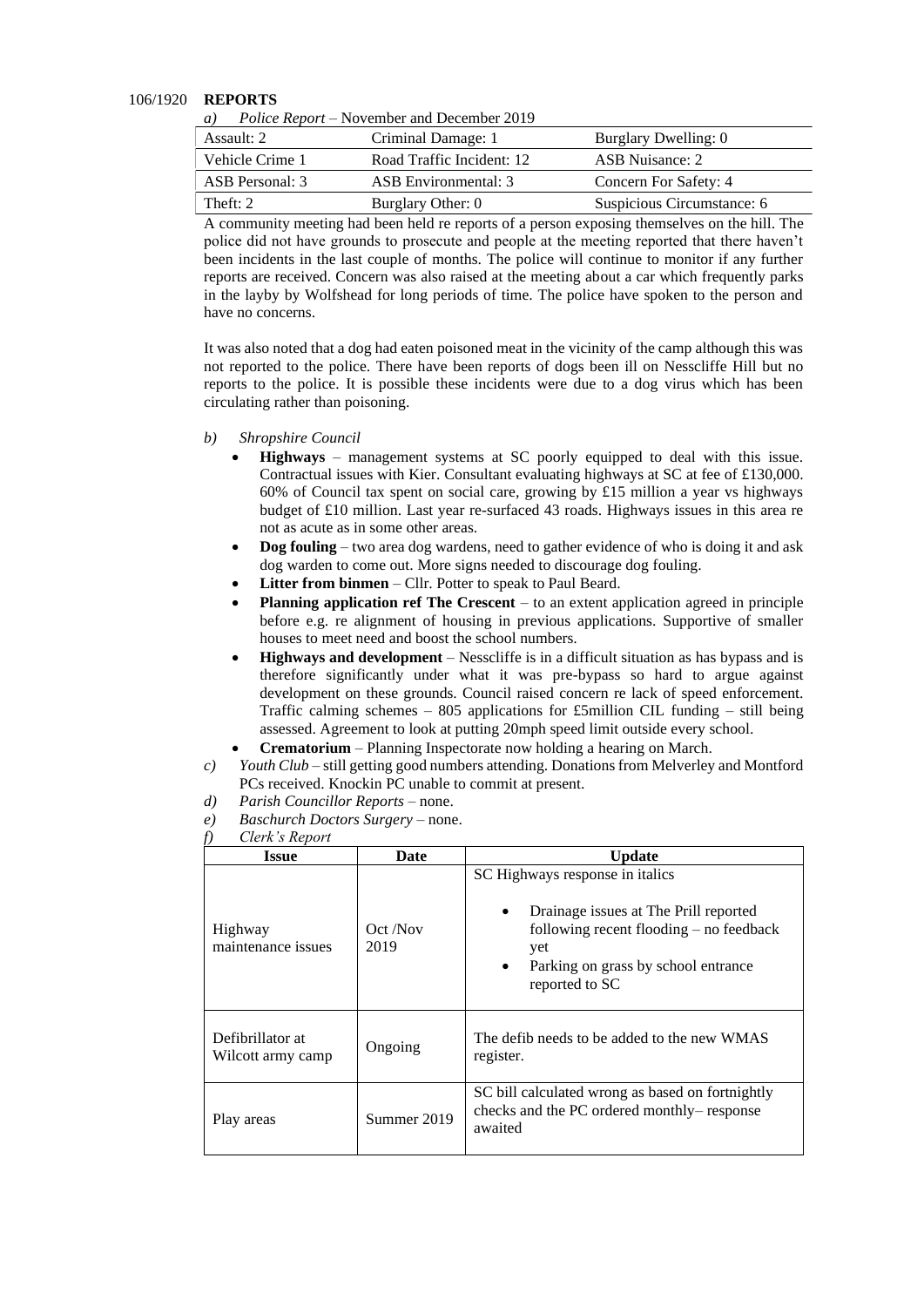#### 106/1920 **REPORTS**

| $\boldsymbol{\omega}$ | T ONCe Hebbit Thovember and December 2017 |                            |
|-----------------------|-------------------------------------------|----------------------------|
| Assault: 2            | Criminal Damage: 1                        | Burglary Dwelling: 0       |
| Vehicle Crime 1       | Road Traffic Incident: 12                 | ASB Nuisance: 2            |
| ASB Personal: 3       | ASB Environmental: 3                      | Concern For Safety: 4      |
| Theft: 2              | Burglary Other: 0                         | Suspicious Circumstance: 6 |

*a) Police Report* – November and December 2019

A community meeting had been held re reports of a person exposing themselves on the hill. The police did not have grounds to prosecute and people at the meeting reported that there haven't been incidents in the last couple of months. The police will continue to monitor if any further reports are received. Concern was also raised at the meeting about a car which frequently parks in the layby by Wolfshead for long periods of time. The police have spoken to the person and have no concerns.

It was also noted that a dog had eaten poisoned meat in the vicinity of the camp although this was not reported to the police. There have been reports of dogs been ill on Nesscliffe Hill but no reports to the police. It is possible these incidents were due to a dog virus which has been circulating rather than poisoning.

- *b) Shropshire Council* 
	- **Highways** management systems at SC poorly equipped to deal with this issue. Contractual issues with Kier. Consultant evaluating highways at SC at fee of £130,000. 60% of Council tax spent on social care, growing by £15 million a year vs highways budget of £10 million. Last year re-surfaced 43 roads. Highways issues in this area re not as acute as in some other areas.
	- **Dog fouling** two area dog wardens, need to gather evidence of who is doing it and ask dog warden to come out. More signs needed to discourage dog fouling.
	- **Litter from binmen** Cllr. Potter to speak to Paul Beard.
	- **Planning application ref The Crescent** to an extent application agreed in principle before e.g. re alignment of housing in previous applications. Supportive of smaller houses to meet need and boost the school numbers.
	- **Highways and development**  Nesscliffe is in a difficult situation as has bypass and is therefore significantly under what it was pre-bypass so hard to argue against development on these grounds. Council raised concern re lack of speed enforcement. Traffic calming schemes – 805 applications for £5million CIL funding – still being assessed. Agreement to look at putting 20mph speed limit outside every school.
	- **Crematorium** Planning Inspectorate now holding a hearing on March.
- *c) Youth Club* still getting good numbers attending. Donations from Melverley and Montford PCs received. Knockin PC unable to commit at present.
- *d) Parish Councillor Reports* none.
- *e) Baschurch Doctors Surgery* none.

#### *f) Clerk's Report*

|                                       | $\mathcal{L}(\mathcal{L})$ is in $\mathcal{L}(\mathcal{L})$ |                                                                                                                                                                                                                 |  |  |  |  |
|---------------------------------------|-------------------------------------------------------------|-----------------------------------------------------------------------------------------------------------------------------------------------------------------------------------------------------------------|--|--|--|--|
| <b>Issue</b>                          | Date                                                        | <b>Update</b>                                                                                                                                                                                                   |  |  |  |  |
| Highway<br>maintenance issues         | Oct /Nov<br>2019                                            | SC Highways response in italics<br>Drainage issues at The Prill reported<br>$\bullet$<br>following recent flooding $-$ no feedback<br>yet<br>Parking on grass by school entrance<br>$\bullet$<br>reported to SC |  |  |  |  |
| Defibrillator at<br>Wilcott army camp | Ongoing                                                     | The defib needs to be added to the new WMAS<br>register.                                                                                                                                                        |  |  |  |  |
| Play areas                            | Summer 2019                                                 | SC bill calculated wrong as based on fortnightly<br>checks and the PC ordered monthly– response<br>awaited                                                                                                      |  |  |  |  |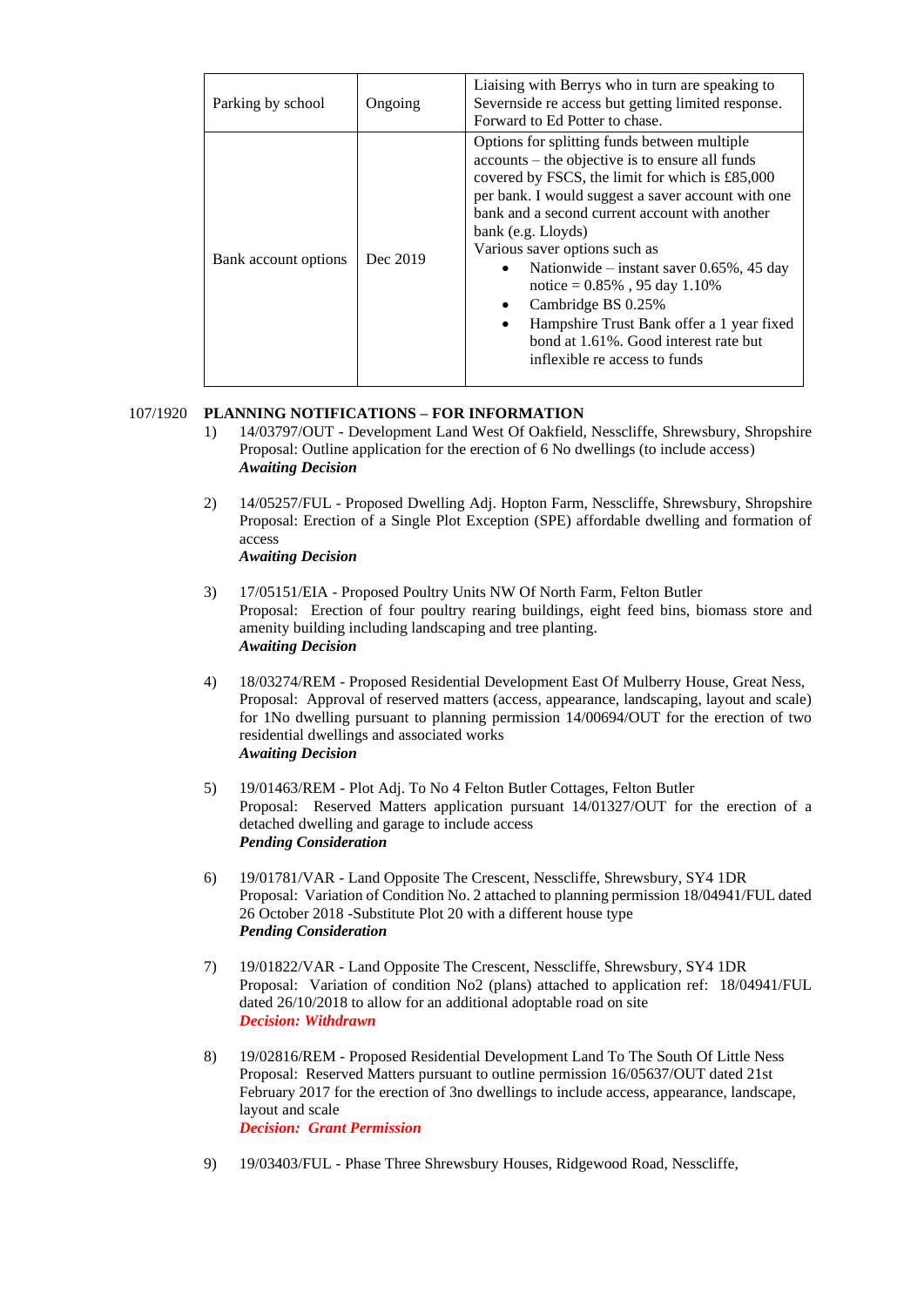| Parking by school    | Ongoing  | Liaising with Berrys who in turn are speaking to<br>Severnside re access but getting limited response.<br>Forward to Ed Potter to chase.                                                                                                                                                                                                                                                                                                                                                                                                                                     |  |  |  |  |
|----------------------|----------|------------------------------------------------------------------------------------------------------------------------------------------------------------------------------------------------------------------------------------------------------------------------------------------------------------------------------------------------------------------------------------------------------------------------------------------------------------------------------------------------------------------------------------------------------------------------------|--|--|--|--|
| Bank account options | Dec 2019 | Options for splitting funds between multiple<br>accounts – the objective is to ensure all funds<br>covered by FSCS, the limit for which is £85,000<br>per bank. I would suggest a saver account with one<br>bank and a second current account with another<br>bank (e.g. Lloyds)<br>Various saver options such as<br>Nationwide – instant saver $0.65\%$ , 45 day<br>$\bullet$<br>notice = $0.85\%$ , 95 day 1.10%<br>Cambridge BS 0.25%<br>$\bullet$<br>Hampshire Trust Bank offer a 1 year fixed<br>bond at 1.61%. Good interest rate but<br>inflexible re access to funds |  |  |  |  |

## 107/1920 **PLANNING NOTIFICATIONS – FOR INFORMATION**

- 1) 14/03797/OUT Development Land West Of Oakfield, Nesscliffe, Shrewsbury, Shropshire Proposal: Outline application for the erection of 6 No dwellings (to include access) *Awaiting Decision*
- 2) 14/05257/FUL Proposed Dwelling Adj. Hopton Farm, Nesscliffe, Shrewsbury, Shropshire Proposal: Erection of a Single Plot Exception (SPE) affordable dwelling and formation of access

*Awaiting Decision*

- 3) 17/05151/EIA Proposed Poultry Units NW Of North Farm, Felton Butler Proposal: Erection of four poultry rearing buildings, eight feed bins, biomass store and amenity building including landscaping and tree planting. *Awaiting Decision*
- 4) 18/03274/REM Proposed Residential Development East Of Mulberry House, Great Ness, Proposal: Approval of reserved matters (access, appearance, landscaping, layout and scale) for 1No dwelling pursuant to planning permission 14/00694/OUT for the erection of two residential dwellings and associated works *Awaiting Decision*
- 5) 19/01463/REM Plot Adj. To No 4 Felton Butler Cottages, Felton Butler Proposal: Reserved Matters application pursuant 14/01327/OUT for the erection of a detached dwelling and garage to include access *Pending Consideration*
- 6) 19/01781/VAR Land Opposite The Crescent, Nesscliffe, Shrewsbury, SY4 1DR Proposal: Variation of Condition No. 2 attached to planning permission 18/04941/FUL dated 26 October 2018 -Substitute Plot 20 with a different house type *Pending Consideration*
- 7) 19/01822/VAR Land Opposite The Crescent, Nesscliffe, Shrewsbury, SY4 1DR Proposal: Variation of condition No2 (plans) attached to application ref: 18/04941/FUL dated 26/10/2018 to allow for an additional adoptable road on site *Decision: Withdrawn*
- 8) 19/02816/REM Proposed Residential Development Land To The South Of Little Ness Proposal: Reserved Matters pursuant to outline permission 16/05637/OUT dated 21st February 2017 for the erection of 3no dwellings to include access, appearance, landscape, layout and scale *Decision: Grant Permission*
- 9) 19/03403/FUL Phase Three Shrewsbury Houses, Ridgewood Road, Nesscliffe,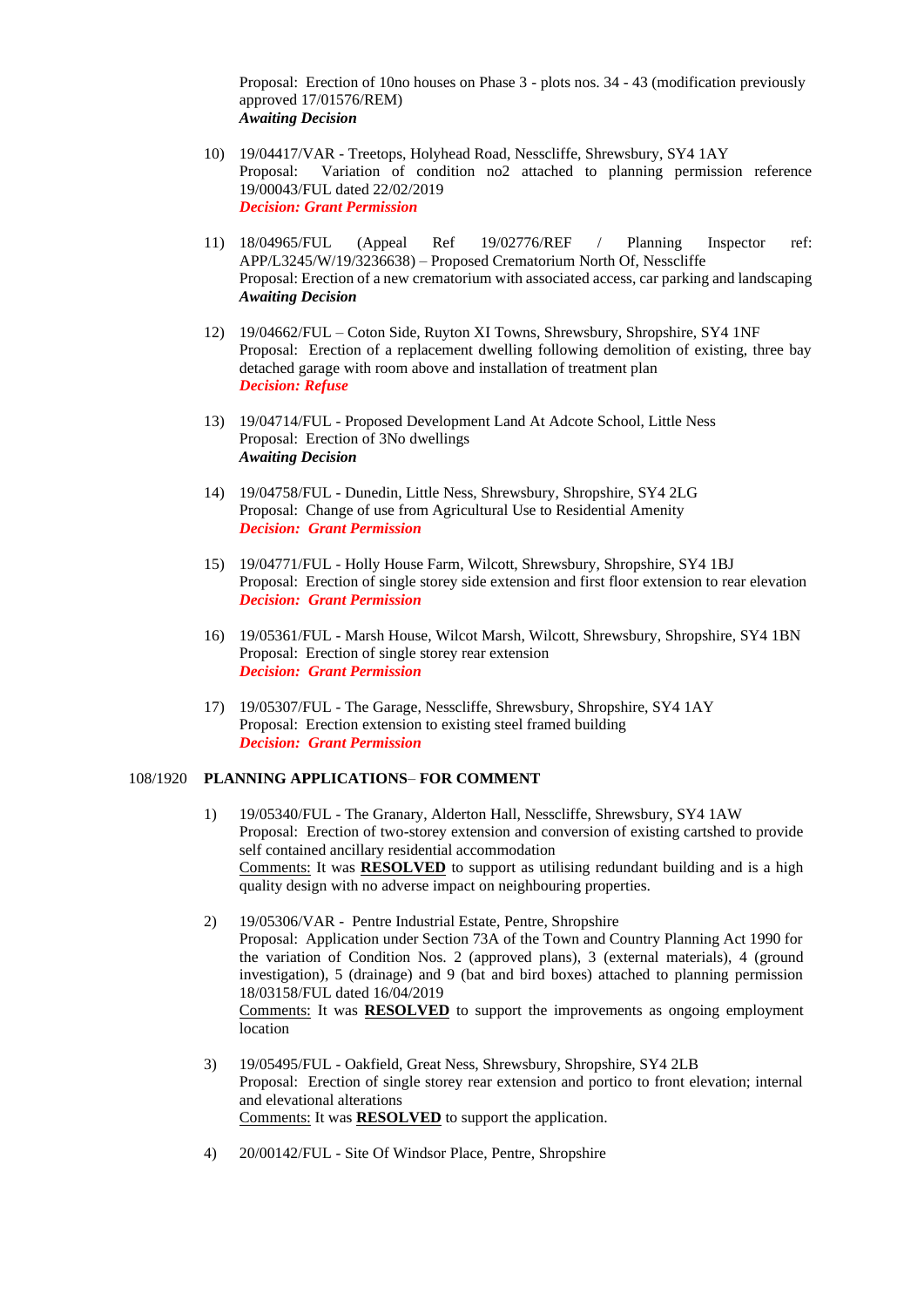Proposal: Erection of 10no houses on Phase 3 - plots nos. 34 - 43 (modification previously approved 17/01576/REM) *Awaiting Decision*

- 10) 19/04417/VAR Treetops, Holyhead Road, Nesscliffe, Shrewsbury, SY4 1AY Proposal: Variation of condition no2 attached to planning permission reference 19/00043/FUL dated 22/02/2019 *Decision: Grant Permission*
- 11) 18/04965/FUL (Appeal Ref 19/02776/REF / Planning Inspector ref: APP/L3245/W/19/3236638) – Proposed Crematorium North Of, Nesscliffe Proposal: Erection of a new crematorium with associated access, car parking and landscaping *Awaiting Decision*
- 12) 19/04662/FUL Coton Side, Ruyton XI Towns, Shrewsbury, Shropshire, SY4 1NF Proposal: Erection of a replacement dwelling following demolition of existing, three bay detached garage with room above and installation of treatment plan *Decision: Refuse*
- 13) 19/04714/FUL Proposed Development Land At Adcote School, Little Ness Proposal: Erection of 3No dwellings *Awaiting Decision*
- 14) 19/04758/FUL Dunedin, Little Ness, Shrewsbury, Shropshire, SY4 2LG Proposal: Change of use from Agricultural Use to Residential Amenity *Decision: Grant Permission*
- 15) 19/04771/FUL Holly House Farm, Wilcott, Shrewsbury, Shropshire, SY4 1BJ Proposal: Erection of single storey side extension and first floor extension to rear elevation *Decision: Grant Permission*
- 16) 19/05361/FUL Marsh House, Wilcot Marsh, Wilcott, Shrewsbury, Shropshire, SY4 1BN Proposal: Erection of single storey rear extension *Decision: Grant Permission*
- 17) 19/05307/FUL The Garage, Nesscliffe, Shrewsbury, Shropshire, SY4 1AY Proposal: Erection extension to existing steel framed building *Decision: Grant Permission*

#### 108/1920 **PLANNING APPLICATIONS**– **FOR COMMENT**

- 1) 19/05340/FUL The Granary, Alderton Hall, Nesscliffe, Shrewsbury, SY4 1AW Proposal: Erection of two-storey extension and conversion of existing cartshed to provide self contained ancillary residential accommodation Comments: It was **RESOLVED** to support as utilising redundant building and is a high quality design with no adverse impact on neighbouring properties.
- 2) 19/05306/VAR Pentre Industrial Estate, Pentre, Shropshire Proposal: Application under Section 73A of the Town and Country Planning Act 1990 for the variation of Condition Nos. 2 (approved plans), 3 (external materials), 4 (ground investigation), 5 (drainage) and 9 (bat and bird boxes) attached to planning permission 18/03158/FUL dated 16/04/2019 Comments: It was **RESOLVED** to support the improvements as ongoing employment location
- 3) 19/05495/FUL Oakfield, Great Ness, Shrewsbury, Shropshire, SY4 2LB Proposal: Erection of single storey rear extension and portico to front elevation; internal and elevational alterations Comments: It was **RESOLVED** to support the application.
- 4) 20/00142/FUL Site Of Windsor Place, Pentre, Shropshire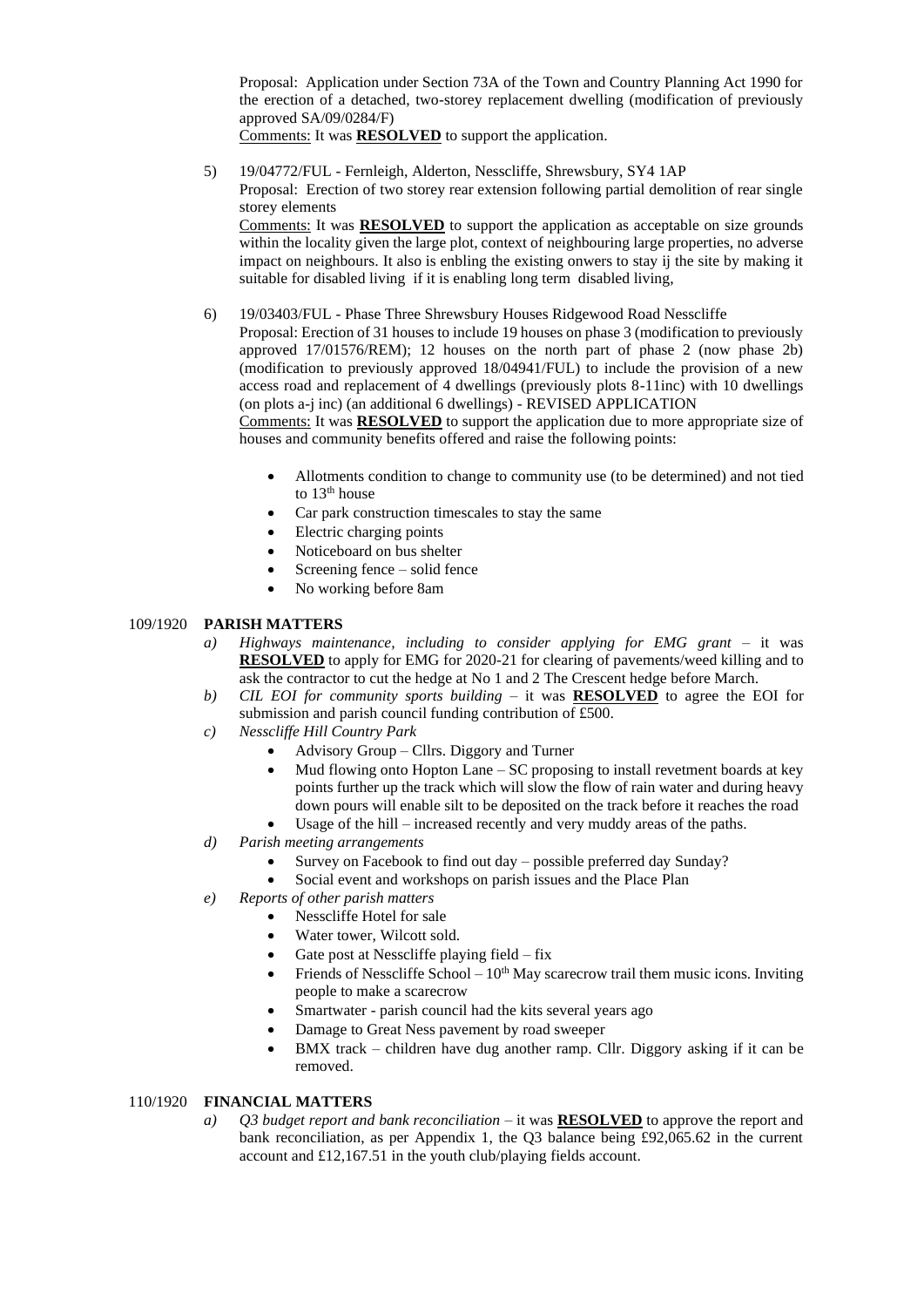Proposal: Application under Section 73A of the Town and Country Planning Act 1990 for the erection of a detached, two-storey replacement dwelling (modification of previously approved SA/09/0284/F)

Comments: It was **RESOLVED** to support the application.

- 5) 19/04772/FUL Fernleigh, Alderton, Nesscliffe, Shrewsbury, SY4 1AP Proposal: Erection of two storey rear extension following partial demolition of rear single storey elements Comments: It was **RESOLVED** to support the application as acceptable on size grounds within the locality given the large plot, context of neighbouring large properties, no adverse impact on neighbours. It also is enbling the existing onwers to stay ij the site by making it suitable for disabled living if it is enabling long term disabled living,
- 6) 19/03403/FUL Phase Three Shrewsbury Houses Ridgewood Road Nesscliffe

Proposal: Erection of 31 houses to include 19 houses on phase 3 (modification to previously approved 17/01576/REM); 12 houses on the north part of phase 2 (now phase 2b) (modification to previously approved 18/04941/FUL) to include the provision of a new access road and replacement of 4 dwellings (previously plots 8-11inc) with 10 dwellings (on plots a-j inc) (an additional 6 dwellings) - REVISED APPLICATION

Comments: It was **RESOLVED** to support the application due to more appropriate size of houses and community benefits offered and raise the following points:

- Allotments condition to change to community use (to be determined) and not tied to  $13<sup>th</sup>$  house
- Car park construction timescales to stay the same
- Electric charging points
- Noticeboard on bus shelter
- Screening fence solid fence
- No working before 8am

#### 109/1920 **PARISH MATTERS**

- *a) Highways maintenance, including to consider applying for EMG grant* it was **RESOLVED** to apply for EMG for 2020-21 for clearing of pavements/weed killing and to ask the contractor to cut the hedge at No 1 and 2 The Crescent hedge before March.
- *b) CIL EOI for community sports building*  it was **RESOLVED** to agree the EOI for submission and parish council funding contribution of £500.
- *c) Nesscliffe Hill Country Park* 
	- Advisory Group Cllrs. Diggory and Turner
	- Mud flowing onto Hopton Lane SC proposing to install revetment boards at key points further up the track which will slow the flow of rain water and during heavy down pours will enable silt to be deposited on the track before it reaches the road
	- Usage of the hill increased recently and very muddy areas of the paths.
- *d) Parish meeting arrangements* 
	- Survey on Facebook to find out day possible preferred day Sunday?
		- Social event and workshops on parish issues and the Place Plan
- *e) Reports of other parish matters*
	- Nesscliffe Hotel for sale
	- Water tower, Wilcott sold.
	- Gate post at Nesscliffe playing field  $-$  fix
	- Friends of Nesscliffe School  $10<sup>th</sup>$  May scarecrow trail them music icons. Inviting people to make a scarecrow
	- Smartwater parish council had the kits several years ago
	- Damage to Great Ness pavement by road sweeper
	- BMX track children have dug another ramp. Cllr. Diggory asking if it can be removed.

## 110/1920 **FINANCIAL MATTERS**

*a) Q3 budget report and bank reconciliation –* it was **RESOLVED** to approve the report and bank reconciliation, as per Appendix 1, the Q3 balance being £92,065.62 in the current account and £12,167.51 in the youth club/playing fields account.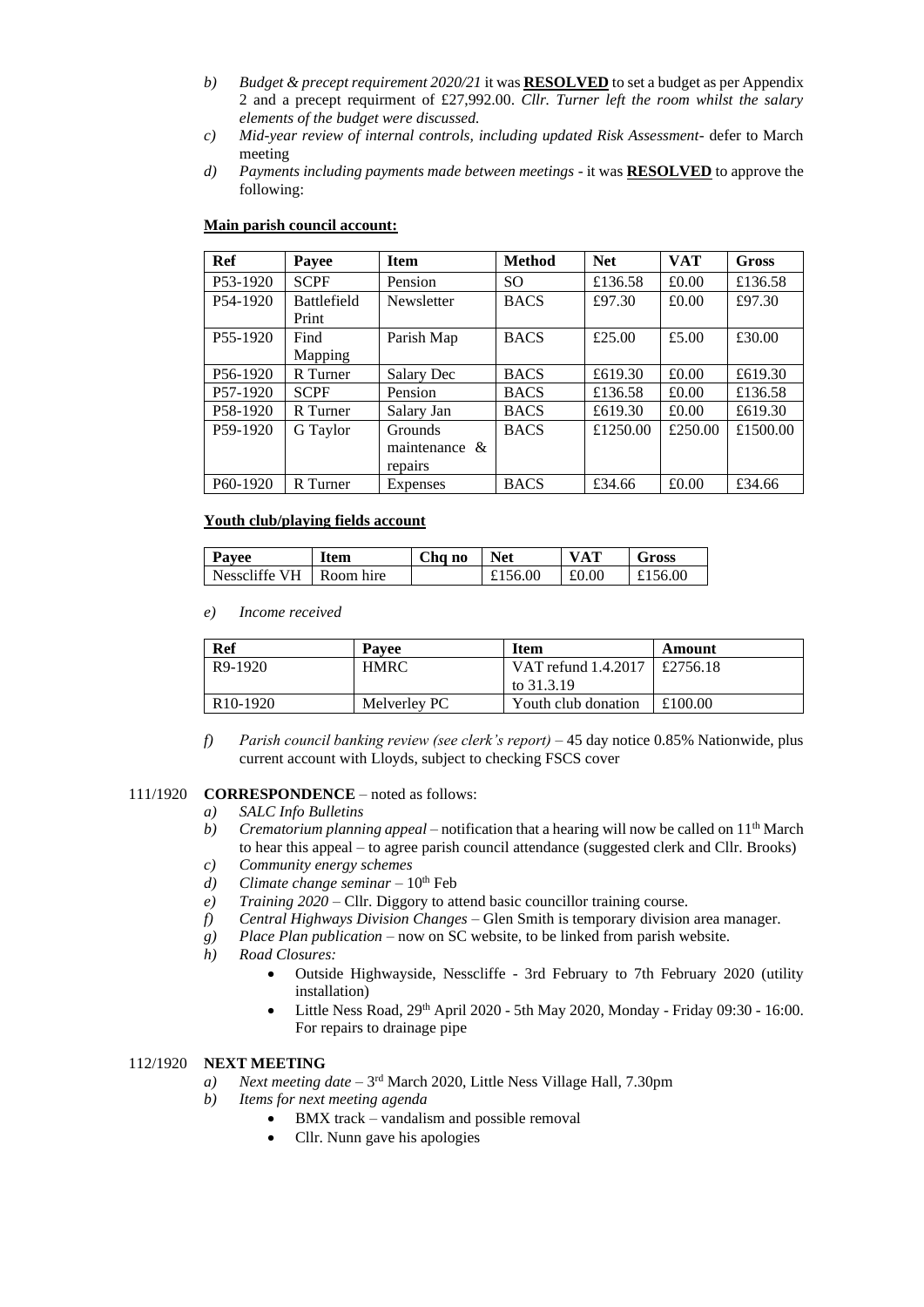- *b) Budget & precept requirement 2020/21* it was **RESOLVED** to set a budget as per Appendix 2 and a precept requirment of £27,992.00. *Cllr. Turner left the room whilst the salary elements of the budget were discussed.*
- *c) Mid-year review of internal controls, including updated Risk Assessment* defer to March meeting
- *d) Payments including payments made between meetings* it was **RESOLVED** to approve the following:

| Ref                   | Payee                       | <b>Item</b>                         | <b>Method</b> | <b>Net</b> | <b>VAT</b> | <b>Gross</b> |
|-----------------------|-----------------------------|-------------------------------------|---------------|------------|------------|--------------|
| P <sub>53</sub> -1920 | <b>SCPF</b>                 | Pension                             | <sub>SO</sub> | £136.58    | £0.00      | £136.58      |
| P <sub>54</sub> -1920 | <b>Battlefield</b><br>Print | Newsletter                          | <b>BACS</b>   | £97.30     | £0.00      | £97.30       |
| P <sub>55</sub> -1920 | Find<br>Mapping             | Parish Map                          | <b>BACS</b>   | £25.00     | £5.00      | £30.00       |
| P <sub>56</sub> -1920 | R Turner                    | Salary Dec                          | <b>BACS</b>   | £619.30    | £0.00      | £619.30      |
| P <sub>57</sub> -1920 | <b>SCPF</b>                 | Pension                             | <b>BACS</b>   | £136.58    | £0.00      | £136.58      |
| P <sub>58</sub> -1920 | R Turner                    | Salary Jan                          | <b>BACS</b>   | £619.30    | £0.00      | £619.30      |
| P59-1920              | G Taylor                    | Grounds<br>maintenance &<br>repairs | <b>BACS</b>   | £1250.00   | £250.00    | £1500.00     |
| P <sub>60</sub> -1920 | R Turner                    | Expenses                            | <b>BACS</b>   | £34.66     | £0.00      | £34.66       |

### **Main parish council account:**

### **Youth club/playing fields account**

| Payee         | Item      | Cha no | <b>Net</b> | <b>VAT</b> | Gross        |
|---------------|-----------|--------|------------|------------|--------------|
| Nesscliffe VH | Room hire |        | £156.00    | £0.00      | $\pm 156.00$ |

#### *e) Income received*

| <b>Ref</b>            | <b>Pavee</b> | <b>Item</b>         | Amount   |
|-----------------------|--------------|---------------------|----------|
| R <sub>9</sub> -1920  | <b>HMRC</b>  | VAT refund 1.4.2017 | £2756.18 |
|                       |              | to 31.3.19          |          |
| R <sub>10</sub> -1920 | Melverley PC | Youth club donation | £100.00  |

*f) Parish council banking review (see clerk's report) –* 45 day notice 0.85% Nationwide, plus current account with Lloyds, subject to checking FSCS cover

#### 111/1920 **CORRESPONDENCE** – noted as follows:

- *a) SALC Info Bulletins*
- *b*) *Crematorium planning appeal* notification that a hearing will now be called on  $11<sup>th</sup>$  March to hear this appeal – to agree parish council attendance (suggested clerk and Cllr. Brooks) *c) Community energy schemes*
- *d*) *Climate change seminar*  $10^{th}$  Feb
- *e) Training 2020* Cllr. Diggory to attend basic councillor training course.
- *f) Central Highways Division Changes* Glen Smith is temporary division area manager.
- *g) Place Plan publication* now on SC website, to be linked from parish website.
- *h) Road Closures:*
	- Outside Highwayside, Nesscliffe 3rd February to 7th February 2020 (utility installation)
	- Little Ness Road, 29th April 2020 5th May 2020, Monday Friday 09:30 16:00. For repairs to drainage pipe

## 112/1920 **NEXT MEETING**

- a) *Next meeting date* 3<sup>rd</sup> March 2020, Little Ness Village Hall, 7.30pm
- *b) Items for next meeting agenda*
	- BMX track vandalism and possible removal
	- Cllr. Nunn gave his apologies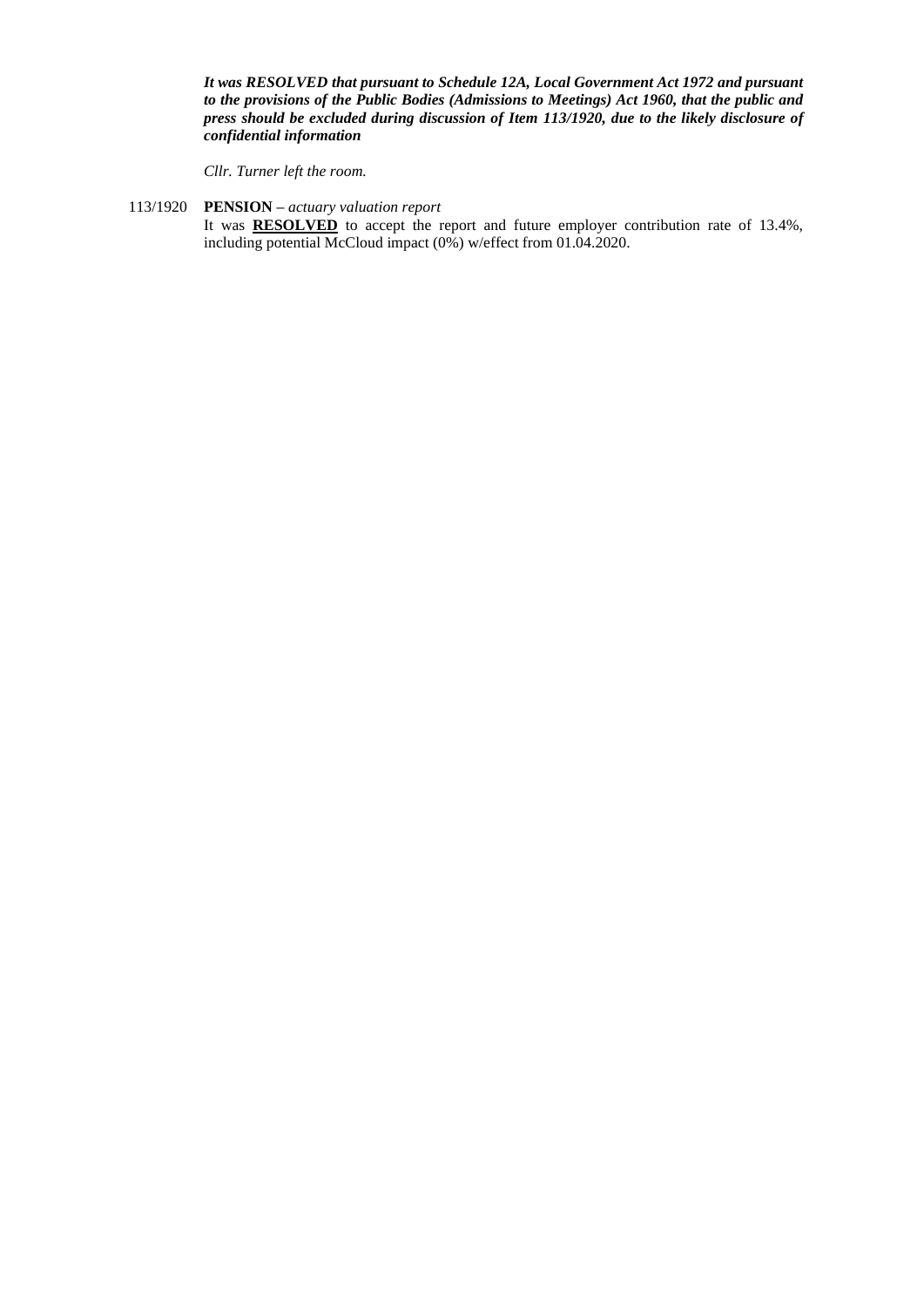*It was RESOLVED that pursuant to Schedule 12A, Local Government Act 1972 and pursuant to the provisions of the Public Bodies (Admissions to Meetings) Act 1960, that the public and press should be excluded during discussion of Item 113/1920, due to the likely disclosure of confidential information*

*Cllr. Turner left the room.*

## 113/1920 **PENSION** *– actuary valuation report*

It was **RESOLVED** to accept the report and future employer contribution rate of 13.4%, including potential McCloud impact (0%) w/effect from 01.04.2020.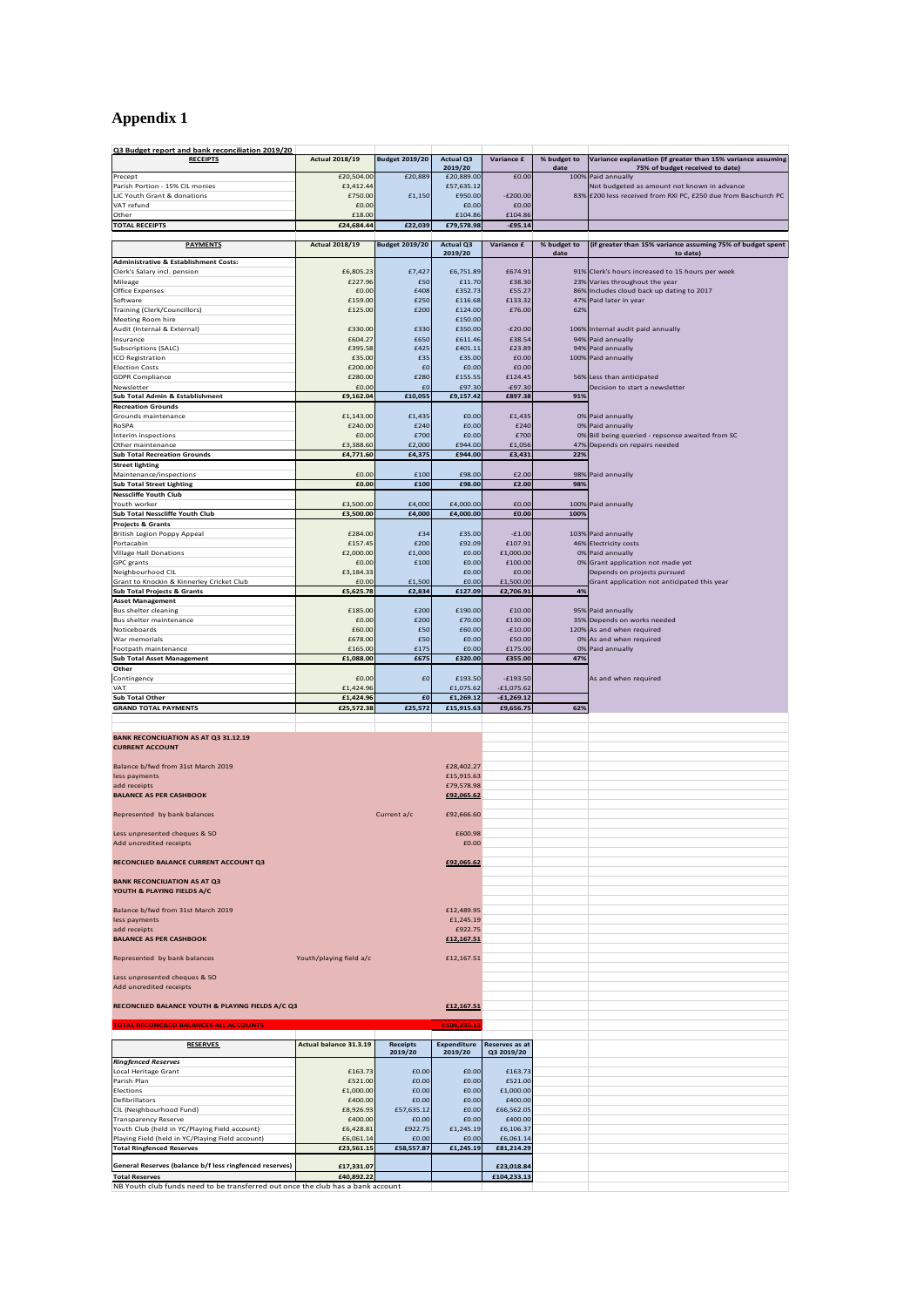# **Appendix 1**

| Q3 Budget report and bank reconciliation 2019/20                                                         |                         |                       |                             |                              |                     |                                                                                                |
|----------------------------------------------------------------------------------------------------------|-------------------------|-----------------------|-----------------------------|------------------------------|---------------------|------------------------------------------------------------------------------------------------|
| <b>RECEIPTS</b>                                                                                          | <b>Actual 2018/19</b>   | <b>Budget 2019/20</b> | <b>Actual Q3</b><br>2019/20 | Variance £                   | % budget to<br>date | Variance explanation (if greater than 15% variance assuming<br>75% of budget received to date) |
| Precept                                                                                                  | £20,504.00              | £20,889               | £20,889.00                  | £0.00                        |                     | 100% Paid annually                                                                             |
| Parish Portion - 15% CIL monies                                                                          | £3,412.44               |                       | £57,635.12                  |                              |                     | Not budgeted as amount not known in advance                                                    |
| <b>LIC Youth Grant &amp; donations</b>                                                                   | £750.00                 | £1,150                | £950.00                     | $-E200.00$                   |                     | 83% £200 less received from RXI PC, £250 due from Baschurch PC                                 |
| VAT refund                                                                                               | £0.00                   |                       | £0.00                       | £0.00                        |                     |                                                                                                |
| Other                                                                                                    | £18.00                  |                       | £104.86                     | £104.86                      |                     |                                                                                                |
| <b>TOTAL RECEIPTS</b>                                                                                    | £24,684.44              | £22,039               | £79,578.98                  | $-£95.14$                    |                     |                                                                                                |
| <b>PAYMENTS</b>                                                                                          | <b>Actual 2018/19</b>   | <b>Budget 2019/20</b> | <b>Actual Q3</b>            | Variance £                   | % budget to         | (if greater than 15% variance assuming 75% of budget spent                                     |
|                                                                                                          |                         |                       | 2019/20                     |                              | date                | to date)                                                                                       |
| <b>Administrative &amp; Establishment Costs:</b>                                                         |                         |                       |                             |                              |                     |                                                                                                |
| Clerk's Salary incl. pension                                                                             | £6,805.23               | £7,427                | £6,751.89                   | £674.91                      |                     | 91% Clerk's hours increased to 15 hours per week                                               |
| Mileage                                                                                                  | £227.96<br>£0.00        | £50<br>£408           | £11.70<br>£352.73           | £38.30<br>£55.27             |                     | 23% Varies throughout the year                                                                 |
| <b>Office Expenses</b><br>Software                                                                       | £159.00                 | £250                  | £116.68                     | £133.32                      |                     | 86% Includes cloud back up dating to 2017<br>47% Paid later in year                            |
| <b>Training (Clerk/Councillors)</b>                                                                      | £125.00                 | £200                  | £124.00                     | £76.00                       | 62%                 |                                                                                                |
| Meeting Room hire                                                                                        |                         |                       | £150.00                     |                              |                     |                                                                                                |
| Audit (Internal & External)                                                                              | £330.00                 | £330                  | £350.00                     | $-E20.00$                    |                     | 106% Internal audit paid annually                                                              |
| Insurance                                                                                                | £604.27                 | £650                  | £611.46                     | £38.54                       |                     | 94% Paid annually                                                                              |
| Subscriptions (SALC)                                                                                     | £395.58                 | £425                  | £401.11                     | £23.89                       |                     | 94% Paid annually                                                                              |
| ICO Registration                                                                                         | £35.00                  | £35                   | £35.00                      | £0.00                        |                     | 100% Paid annually                                                                             |
| <b>Election Costs</b>                                                                                    | £200.00                 | £0                    | £0.00                       | £0.00                        |                     |                                                                                                |
| <b>GDPR Compliance</b><br>Newsletter                                                                     | £280.00<br>£0.00        | £280<br>£0            | £155.55<br>£97.30           | £124.45<br>$-£97.30$         |                     | 56% Less than anticipated<br>Decision to start a newsletter                                    |
| Sub Total Admin & Establishment                                                                          | £9,162.04               | £10,055               | £9,157.42                   | £897.38                      | 91%                 |                                                                                                |
| <b>Recreation Grounds</b>                                                                                |                         |                       |                             |                              |                     |                                                                                                |
| Grounds maintenance                                                                                      | £1,143.00               | £1.435                | £0.00                       | £1,435                       |                     | 0% Paid annually                                                                               |
| RoSPA                                                                                                    | £240.00                 | £240                  | £0.00                       | £240                         |                     | 0% Paid annually                                                                               |
| Interim inspections                                                                                      | £0.00                   | £700                  | £0.00                       | £700                         |                     | 0% Bill being queried - repsonse awaited from SC                                               |
| Other maintenance                                                                                        | £3,388.60               | £2,000                | £944.00                     | £1,056                       |                     | 47% Depends on repairs needed                                                                  |
| <b>Sub Total Recreation Grounds</b>                                                                      | £4,771.60               | £4,375                | £944.00                     | £3,431                       | 22%                 |                                                                                                |
| <b>Street lighting</b><br>Maintenance/inspections                                                        | £0.00                   | £100                  | £98.00                      | £2.00                        |                     | 98% Paid annually                                                                              |
| <b>Sub Total Street Lighting</b>                                                                         | £0.00                   | £100                  | £98.00                      | £2.00                        | 98%                 |                                                                                                |
| <b>Nesscliffe Youth Club</b>                                                                             |                         |                       |                             |                              |                     |                                                                                                |
| Youth worker                                                                                             | £3,500.00               | £4,000                | £4,000.00                   | £0.00                        |                     | 100% Paid annually                                                                             |
| Sub Total Nesscliffe Youth Club                                                                          | £3,500.00               | £4,000                | £4,000.00                   | £0.00                        | 100%                |                                                                                                |
| <b>Projects &amp; Grants</b>                                                                             |                         |                       |                             |                              |                     |                                                                                                |
| British Legion Poppy Appeal                                                                              | £284.00                 | £34                   | £35.00                      | $-£1.00$                     |                     | 103% Paid annually                                                                             |
| Portacabin                                                                                               | £157.45                 | £200                  | £92.09                      | £107.91                      |                     | 46% Electricity costs                                                                          |
| <b>Village Hall Donations</b>                                                                            | £2,000.00               | £1,000                | £0.00                       | £1,000.00                    |                     | 0% Paid annually                                                                               |
| <b>GPC</b> grants<br>Neighbourhood CIL                                                                   | £0.00<br>£3,184.33      | £100                  | £0.00<br>£0.00              | £100.00<br>£0.00             |                     | 0% Grant application not made yet<br>Depends on projects pursued                               |
| Grant to Knockin & Kinnerley Cricket Club                                                                | £0.00                   | £1,500                | £0.00                       | £1,500.00                    |                     | Grant application not anticipated this year                                                    |
| <b>Sub Total Projects &amp; Grants</b>                                                                   | £5,625.78               | £2,834                | £127.09                     | £2,706.91                    | 4%                  |                                                                                                |
| <b>Asset Management</b>                                                                                  |                         |                       |                             |                              |                     |                                                                                                |
| <b>Bus shelter cleaning</b>                                                                              | £185.00                 | £200                  | £190.00                     | £10.00                       |                     | 95% Paid annually                                                                              |
| Bus shelter maintenance                                                                                  | £0.00                   | £200                  | £70.00                      | £130.00                      |                     | 35% Depends on works needed                                                                    |
| Noticeboards                                                                                             | £60.00                  | £50                   | £60.00                      | $-£10.00$                    |                     | 120% As and when required                                                                      |
| War memorials                                                                                            | £678.00                 | £50                   | £0.00                       | £50.00                       |                     | 0% As and when required                                                                        |
| Footpath maintenance<br><b>Sub Total Asset Management</b>                                                | £165.00<br>£1,088.00    | £175<br>£675          | £0.00<br>£320.00            | £175.00<br>£355.00           | 47%                 | 0% Paid annually                                                                               |
| Other                                                                                                    |                         |                       |                             |                              |                     |                                                                                                |
| Contingency                                                                                              | £0.00                   | £0                    | £193.50                     | $-£193.50$                   |                     | As and when required                                                                           |
|                                                                                                          |                         |                       |                             |                              |                     |                                                                                                |
|                                                                                                          |                         |                       |                             |                              |                     |                                                                                                |
| VAT<br><b>Sub Total Other</b>                                                                            | £1,424.96<br>£1,424.96  | £O                    | £1,075.62<br>£1,269.12      | $-£1,075.62$<br>$-£1,269.12$ |                     |                                                                                                |
| <b>GRAND TOTAL PAYMENTS</b>                                                                              | £25,572.38              | £25,572               | £15,915.63                  | £9,656.75                    | 62%                 |                                                                                                |
| <b>BANK RECONCILIATION AS AT Q3 31.12.19</b><br><b>CURRENT ACCOUNT</b>                                   |                         |                       |                             |                              |                     |                                                                                                |
|                                                                                                          |                         |                       |                             |                              |                     |                                                                                                |
| Balance b/fwd from 31st March 2019                                                                       |                         |                       | £28,402.27                  |                              |                     |                                                                                                |
| less payments                                                                                            |                         |                       | £15,915.63                  |                              |                     |                                                                                                |
| add receipts<br><b>BALANCE AS PER CASHBOOK</b>                                                           |                         |                       | £79,578.98<br>£92,065.62    |                              |                     |                                                                                                |
|                                                                                                          |                         |                       |                             |                              |                     |                                                                                                |
| Represented by bank balances                                                                             |                         | Current a/c           | £92,666.60                  |                              |                     |                                                                                                |
|                                                                                                          |                         |                       |                             |                              |                     |                                                                                                |
| Less unpresented cheques & SO                                                                            |                         |                       | £600.98                     |                              |                     |                                                                                                |
| Add uncredited receipts                                                                                  |                         |                       | f0.00                       |                              |                     |                                                                                                |
|                                                                                                          |                         |                       |                             |                              |                     |                                                                                                |
| RECONCILED BALANCE CURRENT ACCOUNT Q3                                                                    |                         |                       | £92,065.62                  |                              |                     |                                                                                                |
| <b>BANK RECONCILIATION AS AT Q3</b>                                                                      |                         |                       |                             |                              |                     |                                                                                                |
| YOUTH & PLAYING FIELDS A/C                                                                               |                         |                       |                             |                              |                     |                                                                                                |
|                                                                                                          |                         |                       |                             |                              |                     |                                                                                                |
| Balance b/fwd from 31st March 2019                                                                       |                         |                       | £12,489.95                  |                              |                     |                                                                                                |
| less payments<br>add receipts                                                                            |                         |                       | £1,245.19                   |                              |                     |                                                                                                |
| <b>BALANCE AS PER CASHBOOK</b>                                                                           |                         |                       | £922.75<br>£12,167.51       |                              |                     |                                                                                                |
|                                                                                                          |                         |                       |                             |                              |                     |                                                                                                |
| Represented by bank balances                                                                             | Youth/playing field a/c |                       | £12,167.51                  |                              |                     |                                                                                                |
|                                                                                                          |                         |                       |                             |                              |                     |                                                                                                |
| Less unpresented cheques & SO                                                                            |                         |                       |                             |                              |                     |                                                                                                |
| Add uncredited receipts                                                                                  |                         |                       |                             |                              |                     |                                                                                                |
|                                                                                                          |                         |                       |                             |                              |                     |                                                                                                |
| RECONCILED BALANCE YOUTH & PLAYING FIELDS A/C Q3                                                         |                         |                       | £12,167.51                  |                              |                     |                                                                                                |
| <b>TOTAL RECONCILED BALANCES ALL ACCOUNTS</b>                                                            |                         |                       | £104,233.1                  |                              |                     |                                                                                                |
|                                                                                                          |                         |                       |                             |                              |                     |                                                                                                |
| <b>RESERVES</b>                                                                                          | Actual balance 31.3.19  | <b>Receipts</b>       | Expenditure                 | Reserves as at               |                     |                                                                                                |
|                                                                                                          |                         | 2019/20               | 2019/20                     | Q3 2019/20                   |                     |                                                                                                |
| <b>Ringfenced Reserves</b>                                                                               |                         | £0.00                 |                             |                              |                     |                                                                                                |
| Local Heritage Grant<br>Parish Plan                                                                      | £163.73<br>£521.00      | £0.00                 | £0.00<br>£0.00              | £163.73<br>£521.00           |                     |                                                                                                |
| Elections                                                                                                | £1,000.00               | £0.00                 | £0.00                       | £1,000.00                    |                     |                                                                                                |
| Defibrillators                                                                                           | £400.00                 | £0.00                 | £0.00                       | £400.00                      |                     |                                                                                                |
| CIL (Neighbourhood Fund)                                                                                 | £8,926.93               | £57,635.12            | £0.00                       | £66,562.05                   |                     |                                                                                                |
| <b>Transparency Reserve</b>                                                                              | £400.00                 | £0.00                 | £0.00                       | £400.00                      |                     |                                                                                                |
| Youth Club (held in YC/Playing Field account)                                                            | £6,428.81               | £922.75               | £1,245.19                   | £6,106.37                    |                     |                                                                                                |
| Playing Field (held in YC/Playing Field account)                                                         | £6,061.14               | £0.00                 | £0.00                       | £6,061.14                    |                     |                                                                                                |
| <b>Total Ringfenced Reserves</b>                                                                         | £23,561.15              | £58,557.87            | £1,245.19                   | £81,214.29                   |                     |                                                                                                |
| General Reserves (balance b/f less ringfenced reserves)                                                  | £17,331.07              |                       |                             | £23,018.84                   |                     |                                                                                                |
| <b>Total Reserves</b><br>NR Youth club funds need to be transferred out once the club has a bank account | £40,892.22              |                       |                             | £104,233.13                  |                     |                                                                                                |

NB Youth club funds need to be transferred out once the club has a bank account